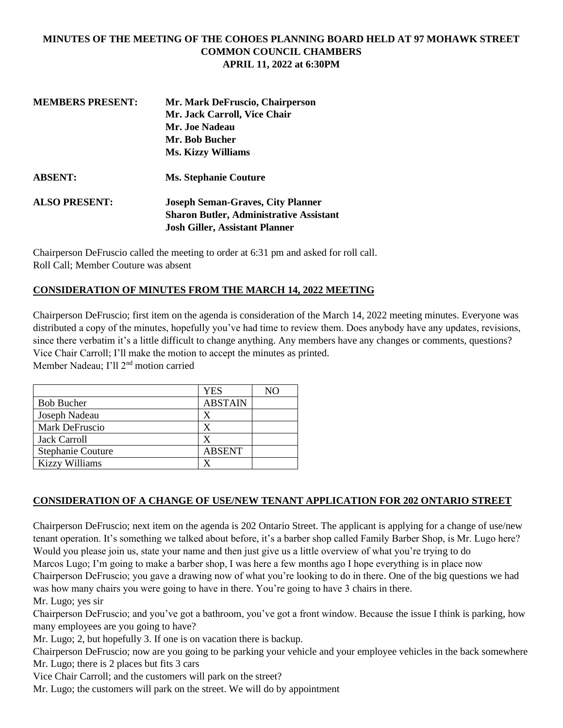### **MINUTES OF THE MEETING OF THE COHOES PLANNING BOARD HELD AT 97 MOHAWK STREET COMMON COUNCIL CHAMBERS APRIL 11, 2022 at 6:30PM**

| <b>MEMBERS PRESENT:</b> | Mr. Mark DeFruscio, Chairperson                |
|-------------------------|------------------------------------------------|
|                         | Mr. Jack Carroll, Vice Chair                   |
|                         | Mr. Joe Nadeau                                 |
|                         | Mr. Bob Bucher                                 |
|                         | <b>Ms. Kizzy Williams</b>                      |
| <b>ABSENT:</b>          | <b>Ms. Stephanie Couture</b>                   |
| <b>ALSO PRESENT:</b>    | <b>Joseph Seman-Graves, City Planner</b>       |
|                         | <b>Sharon Butler, Administrative Assistant</b> |
|                         | <b>Josh Giller, Assistant Planner</b>          |
|                         |                                                |

Chairperson DeFruscio called the meeting to order at 6:31 pm and asked for roll call. Roll Call; Member Couture was absent

### **CONSIDERATION OF MINUTES FROM THE MARCH 14, 2022 MEETING**

Chairperson DeFruscio; first item on the agenda is consideration of the March 14, 2022 meeting minutes. Everyone was distributed a copy of the minutes, hopefully you've had time to review them. Does anybody have any updates, revisions, since there verbatim it's a little difficult to change anything. Any members have any changes or comments, questions? Vice Chair Carroll; I'll make the motion to accept the minutes as printed. Member Nadeau; I'll 2nd motion carried

|                          | <b>YES</b>     | NO |
|--------------------------|----------------|----|
| <b>Bob Bucher</b>        | <b>ABSTAIN</b> |    |
| Joseph Nadeau            | X              |    |
| Mark DeFruscio           | X              |    |
| <b>Jack Carroll</b>      | X              |    |
| <b>Stephanie Couture</b> | <b>ABSENT</b>  |    |
| <b>Kizzy Williams</b>    |                |    |

### **CONSIDERATION OF A CHANGE OF USE/NEW TENANT APPLICATION FOR 202 ONTARIO STREET**

Chairperson DeFruscio; next item on the agenda is 202 Ontario Street. The applicant is applying for a change of use/new tenant operation. It's something we talked about before, it's a barber shop called Family Barber Shop, is Mr. Lugo here? Would you please join us, state your name and then just give us a little overview of what you're trying to do Marcos Lugo; I'm going to make a barber shop, I was here a few months ago I hope everything is in place now Chairperson DeFruscio; you gave a drawing now of what you're looking to do in there. One of the big questions we had was how many chairs you were going to have in there. You're going to have 3 chairs in there.

Mr. Lugo; yes sir

Chairperson DeFruscio; and you've got a bathroom, you've got a front window. Because the issue I think is parking, how many employees are you going to have?

Mr. Lugo; 2, but hopefully 3. If one is on vacation there is backup.

Chairperson DeFruscio; now are you going to be parking your vehicle and your employee vehicles in the back somewhere Mr. Lugo; there is 2 places but fits 3 cars

Vice Chair Carroll; and the customers will park on the street?

Mr. Lugo; the customers will park on the street. We will do by appointment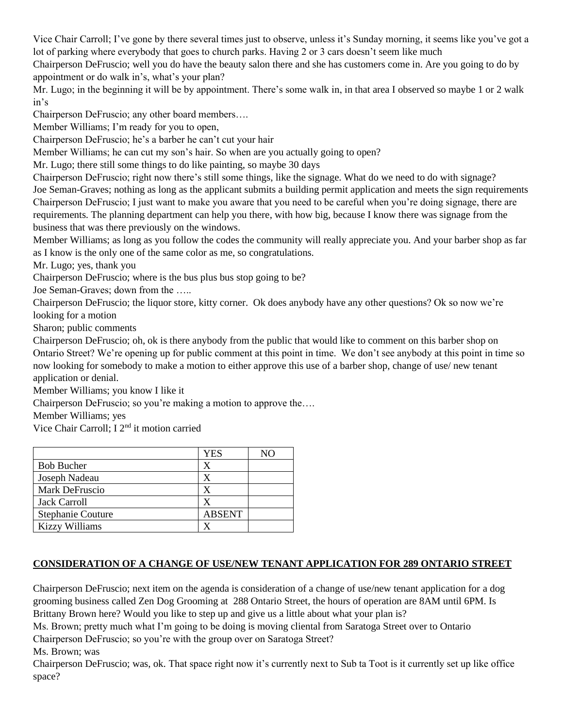Vice Chair Carroll; I've gone by there several times just to observe, unless it's Sunday morning, it seems like you've got a lot of parking where everybody that goes to church parks. Having 2 or 3 cars doesn't seem like much

Chairperson DeFruscio; well you do have the beauty salon there and she has customers come in. Are you going to do by appointment or do walk in's, what's your plan?

Mr. Lugo; in the beginning it will be by appointment. There's some walk in, in that area I observed so maybe 1 or 2 walk in's

Chairperson DeFruscio; any other board members….

Member Williams; I'm ready for you to open,

Chairperson DeFruscio; he's a barber he can't cut your hair

Member Williams; he can cut my son's hair. So when are you actually going to open?

Mr. Lugo; there still some things to do like painting, so maybe 30 days

Chairperson DeFruscio; right now there's still some things, like the signage. What do we need to do with signage? Joe Seman-Graves; nothing as long as the applicant submits a building permit application and meets the sign requirements Chairperson DeFruscio; I just want to make you aware that you need to be careful when you're doing signage, there are requirements. The planning department can help you there, with how big, because I know there was signage from the business that was there previously on the windows.

Member Williams; as long as you follow the codes the community will really appreciate you. And your barber shop as far as I know is the only one of the same color as me, so congratulations.

Mr. Lugo; yes, thank you

Chairperson DeFruscio; where is the bus plus bus stop going to be?

Joe Seman-Graves; down from the …..

Chairperson DeFruscio; the liquor store, kitty corner. Ok does anybody have any other questions? Ok so now we're looking for a motion

Sharon; public comments

Chairperson DeFruscio; oh, ok is there anybody from the public that would like to comment on this barber shop on Ontario Street? We're opening up for public comment at this point in time. We don't see anybody at this point in time so now looking for somebody to make a motion to either approve this use of a barber shop, change of use/ new tenant application or denial.

Member Williams; you know I like it

Chairperson DeFruscio; so you're making a motion to approve the….

Member Williams; yes

Vice Chair Carroll; I 2nd it motion carried

|                          | YES           | NО |
|--------------------------|---------------|----|
| <b>Bob Bucher</b>        | X             |    |
| Joseph Nadeau            | X             |    |
| Mark DeFruscio           |               |    |
| Jack Carroll             |               |    |
| <b>Stephanie Couture</b> | <b>ABSENT</b> |    |
| <b>Kizzy Williams</b>    |               |    |

## **CONSIDERATION OF A CHANGE OF USE/NEW TENANT APPLICATION FOR 289 ONTARIO STREET**

Chairperson DeFruscio; next item on the agenda is consideration of a change of use/new tenant application for a dog grooming business called Zen Dog Grooming at 288 Ontario Street, the hours of operation are 8AM until 6PM. Is Brittany Brown here? Would you like to step up and give us a little about what your plan is?

Ms. Brown; pretty much what I'm going to be doing is moving cliental from Saratoga Street over to Ontario Chairperson DeFruscio; so you're with the group over on Saratoga Street?

Ms. Brown; was

Chairperson DeFruscio; was, ok. That space right now it's currently next to Sub ta Toot is it currently set up like office space?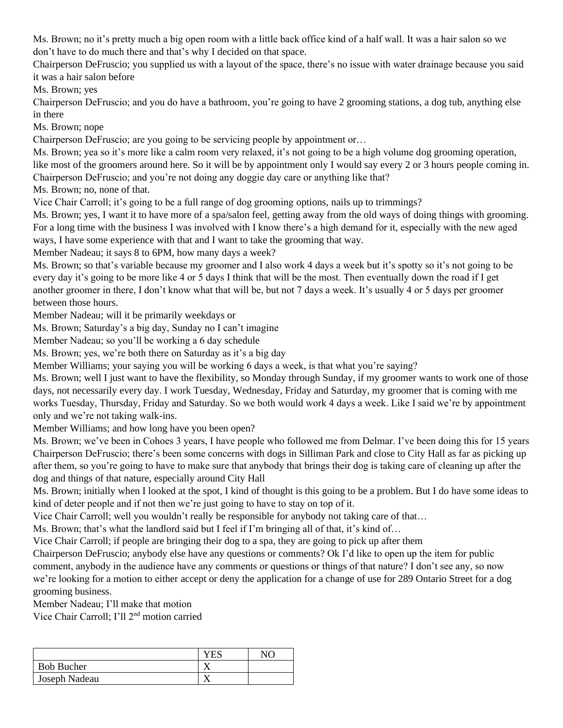Ms. Brown; no it's pretty much a big open room with a little back office kind of a half wall. It was a hair salon so we don't have to do much there and that's why I decided on that space.

Chairperson DeFruscio; you supplied us with a layout of the space, there's no issue with water drainage because you said it was a hair salon before

Ms. Brown; yes

Chairperson DeFruscio; and you do have a bathroom, you're going to have 2 grooming stations, a dog tub, anything else in there

Ms. Brown; nope

Chairperson DeFruscio; are you going to be servicing people by appointment or…

Ms. Brown; yea so it's more like a calm room very relaxed, it's not going to be a high volume dog grooming operation, like most of the groomers around here. So it will be by appointment only I would say every 2 or 3 hours people coming in. Chairperson DeFruscio; and you're not doing any doggie day care or anything like that?

Ms. Brown; no, none of that.

Vice Chair Carroll; it's going to be a full range of dog grooming options, nails up to trimmings?

Ms. Brown; yes, I want it to have more of a spa/salon feel, getting away from the old ways of doing things with grooming. For a long time with the business I was involved with I know there's a high demand for it, especially with the new aged ways, I have some experience with that and I want to take the grooming that way.

Member Nadeau; it says 8 to 6PM, how many days a week?

Ms. Brown; so that's variable because my groomer and I also work 4 days a week but it's spotty so it's not going to be every day it's going to be more like 4 or 5 days I think that will be the most. Then eventually down the road if I get another groomer in there, I don't know what that will be, but not 7 days a week. It's usually 4 or 5 days per groomer between those hours.

Member Nadeau; will it be primarily weekdays or

Ms. Brown; Saturday's a big day, Sunday no I can't imagine

Member Nadeau; so you'll be working a 6 day schedule

Ms. Brown; yes, we're both there on Saturday as it's a big day

Member Williams; your saying you will be working 6 days a week, is that what you're saying?

Ms. Brown; well I just want to have the flexibility, so Monday through Sunday, if my groomer wants to work one of those days, not necessarily every day. I work Tuesday, Wednesday, Friday and Saturday, my groomer that is coming with me works Tuesday, Thursday, Friday and Saturday. So we both would work 4 days a week. Like I said we're by appointment only and we're not taking walk-ins.

Member Williams; and how long have you been open?

Ms. Brown; we've been in Cohoes 3 years, I have people who followed me from Delmar. I've been doing this for 15 years Chairperson DeFruscio; there's been some concerns with dogs in Silliman Park and close to City Hall as far as picking up after them, so you're going to have to make sure that anybody that brings their dog is taking care of cleaning up after the dog and things of that nature, especially around City Hall

Ms. Brown; initially when I looked at the spot, I kind of thought is this going to be a problem. But I do have some ideas to kind of deter people and if not then we're just going to have to stay on top of it.

Vice Chair Carroll; well you wouldn't really be responsible for anybody not taking care of that…

Ms. Brown; that's what the landlord said but I feel if I'm bringing all of that, it's kind of…

Vice Chair Carroll; if people are bringing their dog to a spa, they are going to pick up after them

Chairperson DeFruscio; anybody else have any questions or comments? Ok I'd like to open up the item for public comment, anybody in the audience have any comments or questions or things of that nature? I don't see any, so now we're looking for a motion to either accept or deny the application for a change of use for 289 Ontario Street for a dog grooming business.

Member Nadeau; I'll make that motion

Vice Chair Carroll; I'll 2nd motion carried

| <b>Bob Bucher</b> |  |
|-------------------|--|
| Joseph Nadeau     |  |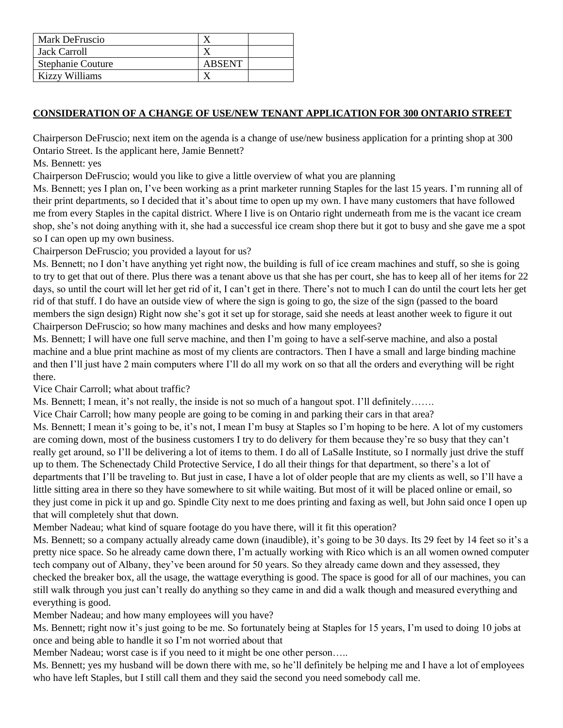| Mark DeFruscio           |               |  |
|--------------------------|---------------|--|
| Jack Carroll             |               |  |
| <b>Stephanie Couture</b> | <b>ABSENT</b> |  |
| Kizzy Williams           |               |  |

# **CONSIDERATION OF A CHANGE OF USE/NEW TENANT APPLICATION FOR 300 ONTARIO STREET**

Chairperson DeFruscio; next item on the agenda is a change of use/new business application for a printing shop at 300 Ontario Street. Is the applicant here, Jamie Bennett?

### Ms. Bennett: yes

Chairperson DeFruscio; would you like to give a little overview of what you are planning

Ms. Bennett; yes I plan on, I've been working as a print marketer running Staples for the last 15 years. I'm running all of their print departments, so I decided that it's about time to open up my own. I have many customers that have followed me from every Staples in the capital district. Where I live is on Ontario right underneath from me is the vacant ice cream shop, she's not doing anything with it, she had a successful ice cream shop there but it got to busy and she gave me a spot so I can open up my own business.

Chairperson DeFruscio; you provided a layout for us?

Ms. Bennett; no I don't have anything yet right now, the building is full of ice cream machines and stuff, so she is going to try to get that out of there. Plus there was a tenant above us that she has per court, she has to keep all of her items for 22 days, so until the court will let her get rid of it, I can't get in there. There's not to much I can do until the court lets her get rid of that stuff. I do have an outside view of where the sign is going to go, the size of the sign (passed to the board members the sign design) Right now she's got it set up for storage, said she needs at least another week to figure it out Chairperson DeFruscio; so how many machines and desks and how many employees?

Ms. Bennett; I will have one full serve machine, and then I'm going to have a self-serve machine, and also a postal machine and a blue print machine as most of my clients are contractors. Then I have a small and large binding machine and then I'll just have 2 main computers where I'll do all my work on so that all the orders and everything will be right there.

Vice Chair Carroll; what about traffic?

Ms. Bennett; I mean, it's not really, the inside is not so much of a hangout spot. I'll definitely…….

Vice Chair Carroll; how many people are going to be coming in and parking their cars in that area?

Ms. Bennett; I mean it's going to be, it's not, I mean I'm busy at Staples so I'm hoping to be here. A lot of my customers are coming down, most of the business customers I try to do delivery for them because they're so busy that they can't really get around, so I'll be delivering a lot of items to them. I do all of LaSalle Institute, so I normally just drive the stuff up to them. The Schenectady Child Protective Service, I do all their things for that department, so there's a lot of departments that I'll be traveling to. But just in case, I have a lot of older people that are my clients as well, so I'll have a little sitting area in there so they have somewhere to sit while waiting. But most of it will be placed online or email, so they just come in pick it up and go. Spindle City next to me does printing and faxing as well, but John said once I open up that will completely shut that down.

Member Nadeau; what kind of square footage do you have there, will it fit this operation?

Ms. Bennett; so a company actually already came down (inaudible), it's going to be 30 days. Its 29 feet by 14 feet so it's a pretty nice space. So he already came down there, I'm actually working with Rico which is an all women owned computer tech company out of Albany, they've been around for 50 years. So they already came down and they assessed, they checked the breaker box, all the usage, the wattage everything is good. The space is good for all of our machines, you can still walk through you just can't really do anything so they came in and did a walk though and measured everything and everything is good.

Member Nadeau; and how many employees will you have?

Ms. Bennett; right now it's just going to be me. So fortunately being at Staples for 15 years, I'm used to doing 10 jobs at once and being able to handle it so I'm not worried about that

Member Nadeau; worst case is if you need to it might be one other person…..

Ms. Bennett; yes my husband will be down there with me, so he'll definitely be helping me and I have a lot of employees who have left Staples, but I still call them and they said the second you need somebody call me.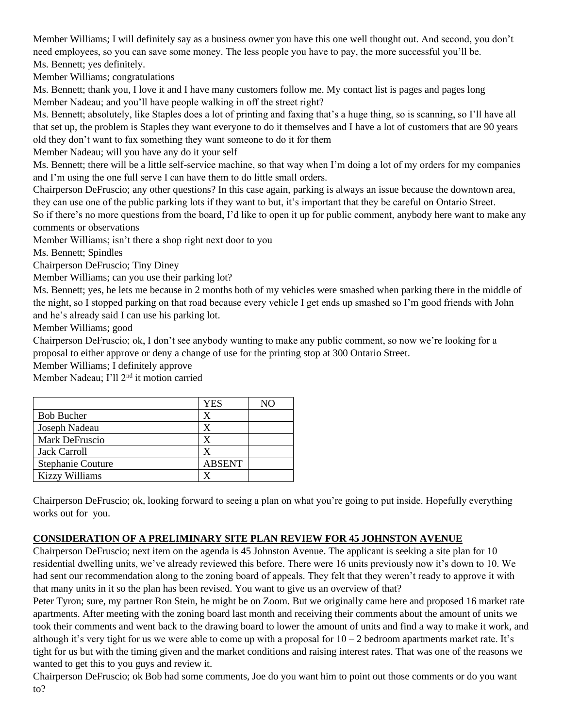Member Williams; I will definitely say as a business owner you have this one well thought out. And second, you don't need employees, so you can save some money. The less people you have to pay, the more successful you'll be. Ms. Bennett; yes definitely.

Member Williams; congratulations

Ms. Bennett; thank you, I love it and I have many customers follow me. My contact list is pages and pages long Member Nadeau; and you'll have people walking in off the street right?

Ms. Bennett; absolutely, like Staples does a lot of printing and faxing that's a huge thing, so is scanning, so I'll have all that set up, the problem is Staples they want everyone to do it themselves and I have a lot of customers that are 90 years old they don't want to fax something they want someone to do it for them

Member Nadeau; will you have any do it your self

Ms. Bennett; there will be a little self-service machine, so that way when I'm doing a lot of my orders for my companies and I'm using the one full serve I can have them to do little small orders.

Chairperson DeFruscio; any other questions? In this case again, parking is always an issue because the downtown area, they can use one of the public parking lots if they want to but, it's important that they be careful on Ontario Street.

So if there's no more questions from the board, I'd like to open it up for public comment, anybody here want to make any comments or observations

Member Williams; isn't there a shop right next door to you

Ms. Bennett; Spindles

Chairperson DeFruscio; Tiny Diney

Member Williams; can you use their parking lot?

Ms. Bennett; yes, he lets me because in 2 months both of my vehicles were smashed when parking there in the middle of the night, so I stopped parking on that road because every vehicle I get ends up smashed so I'm good friends with John and he's already said I can use his parking lot.

Member Williams; good

Chairperson DeFruscio; ok, I don't see anybody wanting to make any public comment, so now we're looking for a proposal to either approve or deny a change of use for the printing stop at 300 Ontario Street.

Member Williams; I definitely approve

Member Nadeau; I'll 2nd it motion carried

|                          | YES           |  |
|--------------------------|---------------|--|
| <b>Bob Bucher</b>        | X             |  |
| Joseph Nadeau            |               |  |
| Mark DeFruscio           |               |  |
| <b>Jack Carroll</b>      |               |  |
| <b>Stephanie Couture</b> | <b>ABSENT</b> |  |
| <b>Kizzy Williams</b>    |               |  |

Chairperson DeFruscio; ok, looking forward to seeing a plan on what you're going to put inside. Hopefully everything works out for you.

### **CONSIDERATION OF A PRELIMINARY SITE PLAN REVIEW FOR 45 JOHNSTON AVENUE**

Chairperson DeFruscio; next item on the agenda is 45 Johnston Avenue. The applicant is seeking a site plan for 10 residential dwelling units, we've already reviewed this before. There were 16 units previously now it's down to 10. We had sent our recommendation along to the zoning board of appeals. They felt that they weren't ready to approve it with that many units in it so the plan has been revised. You want to give us an overview of that?

Peter Tyron; sure, my partner Ron Stein, he might be on Zoom. But we originally came here and proposed 16 market rate apartments. After meeting with the zoning board last month and receiving their comments about the amount of units we took their comments and went back to the drawing board to lower the amount of units and find a way to make it work, and although it's very tight for us we were able to come up with a proposal for  $10 - 2$  bedroom apartments market rate. It's tight for us but with the timing given and the market conditions and raising interest rates. That was one of the reasons we wanted to get this to you guys and review it.

Chairperson DeFruscio; ok Bob had some comments, Joe do you want him to point out those comments or do you want to?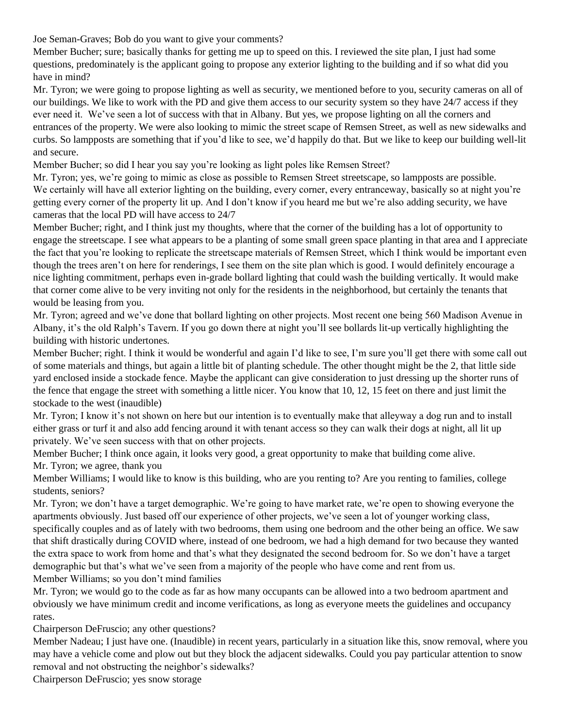Joe Seman-Graves; Bob do you want to give your comments?

Member Bucher; sure; basically thanks for getting me up to speed on this. I reviewed the site plan, I just had some questions, predominately is the applicant going to propose any exterior lighting to the building and if so what did you have in mind?

Mr. Tyron; we were going to propose lighting as well as security, we mentioned before to you, security cameras on all of our buildings. We like to work with the PD and give them access to our security system so they have 24/7 access if they ever need it. We've seen a lot of success with that in Albany. But yes, we propose lighting on all the corners and entrances of the property. We were also looking to mimic the street scape of Remsen Street, as well as new sidewalks and curbs. So lampposts are something that if you'd like to see, we'd happily do that. But we like to keep our building well-lit and secure.

Member Bucher; so did I hear you say you're looking as light poles like Remsen Street?

Mr. Tyron; yes, we're going to mimic as close as possible to Remsen Street streetscape, so lampposts are possible. We certainly will have all exterior lighting on the building, every corner, every entranceway, basically so at night you're getting every corner of the property lit up. And I don't know if you heard me but we're also adding security, we have cameras that the local PD will have access to 24/7

Member Bucher; right, and I think just my thoughts, where that the corner of the building has a lot of opportunity to engage the streetscape. I see what appears to be a planting of some small green space planting in that area and I appreciate the fact that you're looking to replicate the streetscape materials of Remsen Street, which I think would be important even though the trees aren't on here for renderings, I see them on the site plan which is good. I would definitely encourage a nice lighting commitment, perhaps even in-grade bollard lighting that could wash the building vertically. It would make that corner come alive to be very inviting not only for the residents in the neighborhood, but certainly the tenants that would be leasing from you.

Mr. Tyron; agreed and we've done that bollard lighting on other projects. Most recent one being 560 Madison Avenue in Albany, it's the old Ralph's Tavern. If you go down there at night you'll see bollards lit-up vertically highlighting the building with historic undertones.

Member Bucher; right. I think it would be wonderful and again I'd like to see, I'm sure you'll get there with some call out of some materials and things, but again a little bit of planting schedule. The other thought might be the 2, that little side yard enclosed inside a stockade fence. Maybe the applicant can give consideration to just dressing up the shorter runs of the fence that engage the street with something a little nicer. You know that 10, 12, 15 feet on there and just limit the stockade to the west (inaudible)

Mr. Tyron; I know it's not shown on here but our intention is to eventually make that alleyway a dog run and to install either grass or turf it and also add fencing around it with tenant access so they can walk their dogs at night, all lit up privately. We've seen success with that on other projects.

Member Bucher; I think once again, it looks very good, a great opportunity to make that building come alive. Mr. Tyron; we agree, thank you

Member Williams; I would like to know is this building, who are you renting to? Are you renting to families, college students, seniors?

Mr. Tyron; we don't have a target demographic. We're going to have market rate, we're open to showing everyone the apartments obviously. Just based off our experience of other projects, we've seen a lot of younger working class, specifically couples and as of lately with two bedrooms, them using one bedroom and the other being an office. We saw that shift drastically during COVID where, instead of one bedroom, we had a high demand for two because they wanted the extra space to work from home and that's what they designated the second bedroom for. So we don't have a target demographic but that's what we've seen from a majority of the people who have come and rent from us. Member Williams; so you don't mind families

Mr. Tyron; we would go to the code as far as how many occupants can be allowed into a two bedroom apartment and obviously we have minimum credit and income verifications, as long as everyone meets the guidelines and occupancy rates.

Chairperson DeFruscio; any other questions?

Member Nadeau; I just have one. (Inaudible) in recent years, particularly in a situation like this, snow removal, where you may have a vehicle come and plow out but they block the adjacent sidewalks. Could you pay particular attention to snow removal and not obstructing the neighbor's sidewalks?

Chairperson DeFruscio; yes snow storage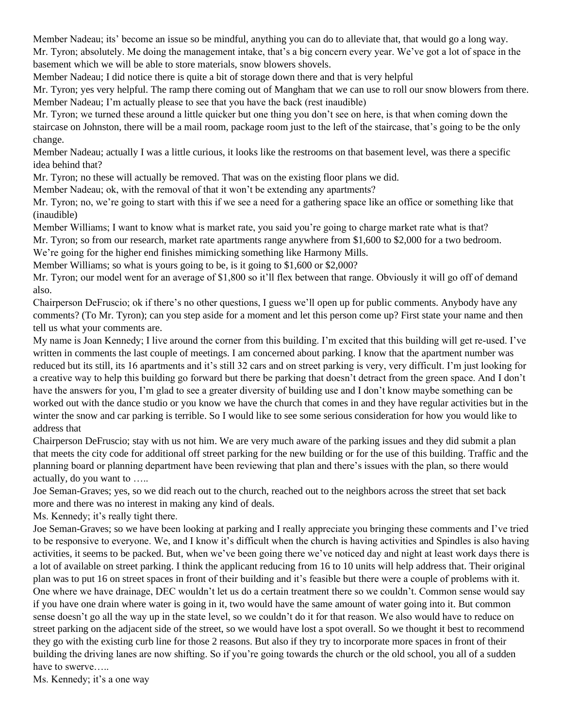Member Nadeau; its' become an issue so be mindful, anything you can do to alleviate that, that would go a long way. Mr. Tyron; absolutely. Me doing the management intake, that's a big concern every year. We've got a lot of space in the basement which we will be able to store materials, snow blowers shovels.

Member Nadeau; I did notice there is quite a bit of storage down there and that is very helpful

Mr. Tyron; yes very helpful. The ramp there coming out of Mangham that we can use to roll our snow blowers from there. Member Nadeau; I'm actually please to see that you have the back (rest inaudible)

Mr. Tyron; we turned these around a little quicker but one thing you don't see on here, is that when coming down the staircase on Johnston, there will be a mail room, package room just to the left of the staircase, that's going to be the only change.

Member Nadeau; actually I was a little curious, it looks like the restrooms on that basement level, was there a specific idea behind that?

Mr. Tyron; no these will actually be removed. That was on the existing floor plans we did.

Member Nadeau; ok, with the removal of that it won't be extending any apartments?

Mr. Tyron; no, we're going to start with this if we see a need for a gathering space like an office or something like that (inaudible)

Member Williams; I want to know what is market rate, you said you're going to charge market rate what is that? Mr. Tyron; so from our research, market rate apartments range anywhere from \$1,600 to \$2,000 for a two bedroom.

We're going for the higher end finishes mimicking something like Harmony Mills.

Member Williams; so what is yours going to be, is it going to \$1,600 or \$2,000?

Mr. Tyron; our model went for an average of \$1,800 so it'll flex between that range. Obviously it will go off of demand also.

Chairperson DeFruscio; ok if there's no other questions, I guess we'll open up for public comments. Anybody have any comments? (To Mr. Tyron); can you step aside for a moment and let this person come up? First state your name and then tell us what your comments are.

My name is Joan Kennedy; I live around the corner from this building. I'm excited that this building will get re-used. I've written in comments the last couple of meetings. I am concerned about parking. I know that the apartment number was reduced but its still, its 16 apartments and it's still 32 cars and on street parking is very, very difficult. I'm just looking for a creative way to help this building go forward but there be parking that doesn't detract from the green space. And I don't have the answers for you, I'm glad to see a greater diversity of building use and I don't know maybe something can be worked out with the dance studio or you know we have the church that comes in and they have regular activities but in the winter the snow and car parking is terrible. So I would like to see some serious consideration for how you would like to address that

Chairperson DeFruscio; stay with us not him. We are very much aware of the parking issues and they did submit a plan that meets the city code for additional off street parking for the new building or for the use of this building. Traffic and the planning board or planning department have been reviewing that plan and there's issues with the plan, so there would actually, do you want to …..

Joe Seman-Graves; yes, so we did reach out to the church, reached out to the neighbors across the street that set back more and there was no interest in making any kind of deals.

Ms. Kennedy; it's really tight there.

Joe Seman-Graves; so we have been looking at parking and I really appreciate you bringing these comments and I've tried to be responsive to everyone. We, and I know it's difficult when the church is having activities and Spindles is also having activities, it seems to be packed. But, when we've been going there we've noticed day and night at least work days there is a lot of available on street parking. I think the applicant reducing from 16 to 10 units will help address that. Their original plan was to put 16 on street spaces in front of their building and it's feasible but there were a couple of problems with it. One where we have drainage, DEC wouldn't let us do a certain treatment there so we couldn't. Common sense would say if you have one drain where water is going in it, two would have the same amount of water going into it. But common sense doesn't go all the way up in the state level, so we couldn't do it for that reason. We also would have to reduce on street parking on the adjacent side of the street, so we would have lost a spot overall. So we thought it best to recommend they go with the existing curb line for those 2 reasons. But also if they try to incorporate more spaces in front of their building the driving lanes are now shifting. So if you're going towards the church or the old school, you all of a sudden have to swerve…..

Ms. Kennedy; it's a one way